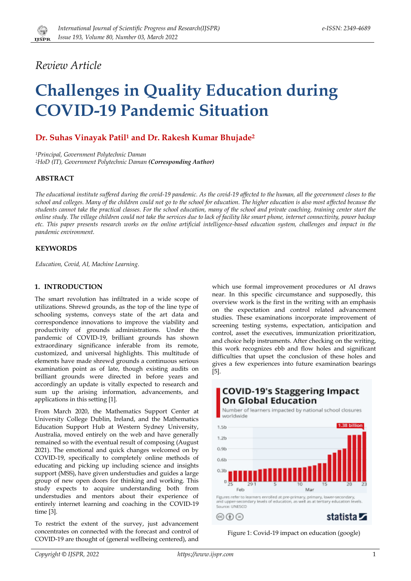

# *Review Article*

# **Challenges in Quality Education during COVID-19 Pandemic Situation**

# **Dr. Suhas Vinayak Patil<sup>1</sup> and Dr. Rakesh Kumar Bhujade<sup>2</sup>**

*<sup>1</sup>Principal, Government Polytechnic Daman <sup>2</sup>HoD (IT), Government Polytechnic Daman (Corresponding Author)* 

### **ABSTRACT**

*The educational institute suffered during the covid-19 pandemic. As the covid-19 affected to the human, all the government closes to the school and colleges. Many of the children could not go to the school for education. The higher education is also most affected because the students cannot take the practical classes. For the school education, many of the school and private coaching, training center start the online study. The village children could not take the services due to lack of facility like smart phone, internet connectivity, power backup etc. This paper presents research works on the online artificial intelligence-based education system, challenges and impact in the pandemic environment.*

#### **KEYWORDS**

*Education, Covid, AI, Machine Learning.* 

#### **1. INTRODUCTION**

The smart revolution has infiltrated in a wide scope of utilizations. Shrewd grounds, as the top of the line type of schooling systems, conveys state of the art data and correspondence innovations to improve the viability and productivity of grounds administrations. Under the pandemic of COVID-19, brilliant grounds has shown extraordinary significance inferable from its remote, customized, and universal highlights. This multitude of elements have made shrewd grounds a continuous serious examination point as of late, though existing audits on brilliant grounds were directed in before years and accordingly an update is vitally expected to research and sum up the arising information, advancements, and applications in this setting [1].

From March 2020, the Mathematics Support Center at University College Dublin, Ireland, and the Mathematics Education Support Hub at Western Sydney University, Australia, moved entirely on the web and have generally remained so with the eventual result of composing (August 2021). The emotional and quick changes welcomed on by COVID-19, specifically to completely online methods of educating and picking up including science and insights support (MSS), have given understudies and guides a large group of new open doors for thinking and working. This study expects to acquire understanding both from understudies and mentors about their experience of entirely internet learning and coaching in the COVID-19 time [3].

To restrict the extent of the survey, just advancement concentrates on connected with the forecast and control of COVID-19 are thought of (general wellbeing centered), and

which use formal improvement procedures or AI draws near. In this specific circumstance and supposedly, this overview work is the first in the writing with an emphasis on the expectation and control related advancement studies. These examinations incorporate improvement of screening testing systems, expectation, anticipation and control, asset the executives, immunization prioritization, and choice help instruments. After checking on the writing, this work recognizes ebb and flow holes and significant difficulties that upset the conclusion of these holes and gives a few experiences into future examination bearings [5].



Figure 1: Covid-19 impact on education (google)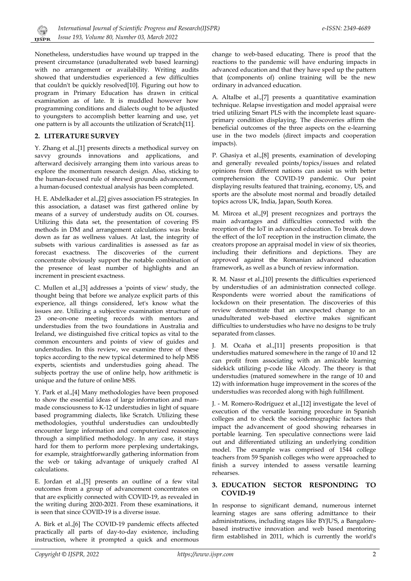

Nonetheless, understudies have wound up trapped in the present circumstance (unadulterated web based learning) with no arrangement or availability. Writing audits showed that understudies experienced a few difficulties that couldn't be quickly resolved[10]. Figuring out how to program in Primary Education has drawn in critical examination as of late. It is muddled however how programming conditions and dialects ought to be adjusted to youngsters to accomplish better learning and use, yet one pattern is by all accounts the utilization of Scratch[11].

## **2. LITERATURE SURVEY**

Y. Zhang et al.,[1] presents directs a methodical survey on savvy grounds innovations and applications, and afterward decisively arranging them into various areas to explore the momentum research design. Also, sticking to the human-focused rule of shrewd grounds advancement, a human-focused contextual analysis has been completed.

H. E. Abdelkader et al.,[2] gives association FS strategies. In this association, a dataset was first gathered online by means of a survey of understudy audits on OL courses. Utilizing this data set, the presentation of covering FS methods in DM and arrangement calculations was broke down as far as wellness values. At last, the integrity of subsets with various cardinalities is assessed as far as forecast exactness. The discoveries of the current concentrate obviously support the notable combination of the presence of least number of highlights and an increment in prescient exactness.

C. Mullen et al.,[3] addresses a 'points of view' study, the thought being that before we analyze explicit parts of this experience, all things considered, let's know what the issues are. Utilizing a subjective examination structure of 23 one-on-one meeting records with mentors and understudies from the two foundations in Australia and Ireland, we distinguished five critical topics as vital to the common encounters and points of view of guides and understudies. In this review, we examine three of these topics according to the new typical determined to help MSS experts, scientists and understudies going ahead. The subjects portray the use of online help, how arithmetic is unique and the future of online MSS.

Y. Park et al.,[4] Many methodologies have been proposed to show the essential ideas of large information and manmade consciousness to K-12 understudies in light of square based programming dialects, like Scratch. Utilizing these methodologies, youthful understudies can undoubtedly encounter large information and computerized reasoning through a simplified methodology. In any case, it stays hard for them to perform more perplexing undertakings, for example, straightforwardly gathering information from the web or taking advantage of uniquely crafted AI calculations.

E. Jordan et al.,[5] presents an outline of a few vital outcomes from a group of advancement concentrates on that are explicitly connected with COVID-19, as revealed in the writing during 2020-2021. From these examinations, it is seen that since COVID-19 is a diverse issue.

A. Birk et al.,[6] The COVID-19 pandemic effects affected practically all parts of day-to-day existence, including instruction, where it prompted a quick and enormous

change to web-based educating. There is proof that the reactions to the pandemic will have enduring impacts in advanced education and that they have sped up the pattern that (components of) online training will be the new ordinary in advanced education.

A. Altalbe et al.,[7] presents a quantitative examination technique. Relapse investigation and model appraisal were tried utilizing Smart PLS with the incomplete least squareprimary condition displaying. The discoveries affirm the beneficial outcomes of the three aspects on the e-learning use in the two models (direct impacts and cooperation impacts).

P. Ghasiya et al.,[8] presents, examination of developing and generally revealed points/topics/issues and related opinions from different nations can assist us with better comprehension the COVID-19 pandemic. Our point displaying results featured that training, economy, US, and sports are the absolute most normal and broadly detailed topics across UK, India, Japan, South Korea.

M. Mircea et al.,[9] present recognizes and portrays the main advantages and difficulties connected with the reception of the IoT in advanced education. To break down the effect of the IoT reception in the instruction climate, the creators propose an appraisal model in view of six theories, including their definitions and depictions. They are approved against the Romanian advanced education framework, as well as a bunch of review information.

R. M. Nassr et al.,[10] presents the difficulties experienced by understudies of an administration connected college. Respondents were worried about the ramifications of lockdown on their presentation. The discoveries of this review demonstrate that an unexpected change to an unadulterated web-based elective makes significant difficulties to understudies who have no designs to be truly separated from classes.

J. M. Ocaña et al.,[11] presents proposition is that understudies matured somewhere in the range of 10 and 12 can profit from associating with an amicable learning sidekick utilizing p-code like Alcody. The theory is that understudies (matured somewhere in the range of 10 and 12) with information huge improvement in the scores of the understudies was recorded along with high fulfillment.

J. - M. Romero-Rodríguez et al.,[12] investigate the level of execution of the versatile learning procedure in Spanish colleges and to check the sociodemographic factors that impact the advancement of good showing rehearses in portable learning. Ten speculative connections were laid out and differentiated utilizing an underlying condition model. The example was comprised of 1544 college teachers from 59 Spanish colleges who were approached to finish a survey intended to assess versatile learning rehearses.

#### **3. EDUCATION SECTOR RESPONDING TO COVID-19**

In response to significant demand, numerous internet learning stages are sans offering admittance to their administrations, including stages like BYJU'S, a Bangalorebased instructive innovation and web based mentoring firm established in 2011, which is currently the world's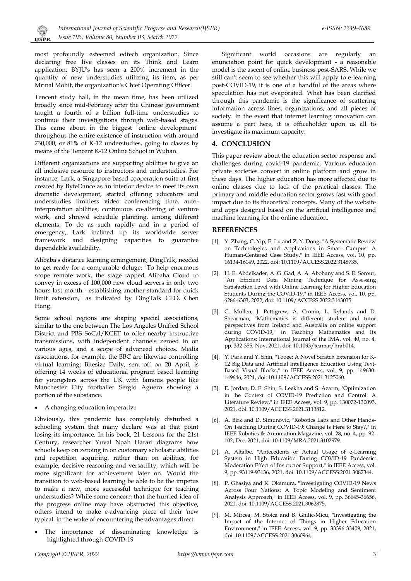

most profoundly esteemed edtech organization. Since declaring free live classes on its Think and Learn application, BYJU's has seen a 200% increment in the quantity of new understudies utilizing its item, as per Mrinal Mohit, the organization's Chief Operating Officer.

Tencent study hall, in the mean time, has been utilized broadly since mid-February after the Chinese government taught a fourth of a billion full-time understudies to continue their investigations through web-based stages. This came about in the biggest "online development" throughout the entire existence of instruction with around 730,000, or 81% of K-12 understudies, going to classes by means of the Tencent K-12 Online School in Wuhan.

Different organizations are supporting abilities to give an all inclusive resource to instructors and understudies. For instance, Lark, a Singapore-based cooperation suite at first created by ByteDance as an interior device to meet its own dramatic development, started offering educators and understudies limitless video conferencing time, autointerpretation abilities, continuous co-altering of venture work, and shrewd schedule planning, among different elements. To do as such rapidly and in a period of emergency, Lark inclined up its worldwide server framework and designing capacities to guarantee dependable availability.

Alibaba's distance learning arrangement, DingTalk, needed to get ready for a comparable deluge: "To help enormous scope remote work, the stage tapped Alibaba Cloud to convey in excess of 100,000 new cloud servers in only two hours last month - establishing another standard for quick limit extension," as indicated by DingTalk CEO, Chen Hang.

Some school regions are shaping special associations, similar to the one between The Los Angeles Unified School District and PBS SoCal/KCET to offer nearby instructive transmissions, with independent channels zeroed in on various ages, and a scope of advanced choices. Media associations, for example, the BBC are likewise controlling virtual learning; Bitesize Daily, sent off on 20 April, is offering 14 weeks of educational program based learning for youngsters across the UK with famous people like Manchester City footballer Sergio Aguero showing a portion of the substance.

• A changing education imperative

Obviously, this pandemic has completely disturbed a schooling system that many declare was at that point losing its importance. In his book, 21 Lessons for the 21st Century, researcher Yuval Noah Harari diagrams how schools keep on zeroing in on customary scholastic abilities and repetition acquiring, rather than on abilities, for example, decisive reasoning and versatility, which will be more significant for achievement later on. Would the transition to web-based learning be able to be the impetus to make a new, more successful technique for teaching understudies? While some concern that the hurried idea of the progress online may have obstructed this objective, others intend to make e-advancing piece of their 'new typical' in the wake of encountering the advantages direct.

• The importance of disseminating knowledge is highlighted through COVID-19

Significant world occasions are regularly an enunciation point for quick development - a reasonable model is the ascent of online business post-SARS. While we still can't seem to see whether this will apply to e-learning post-COVID-19, it is one of a handful of the areas where speculation has not evaporated. What has been clarified through this pandemic is the significance of scattering information across lines, organizations, and all pieces of society. In the event that internet learning innovation can assume a part here, it is officeholder upon us all to investigate its maximum capacity.

#### **4. CONCLUSION**

This paper review about the education sector response and challenges during covid-19 pandemic. Various education private societies convert in online platform and grow in these days. The higher education has more affected due to online classes due to lack of the practical classes. The primary and middle education sector grows fast with good impact due to its theoretical concepts. Many of the website and apps designed based on the artificial intelligence and machine learning for the online education.

#### **REFERENCES**

- [1]. Y. Zhang, C. Yip, E. Lu and Z. Y. Dong, "A Systematic Review on Technologies and Applications in Smart Campus: A Human-Centered Case Study," in IEEE Access, vol. 10, pp. 16134-16149, 2022, doi: 10.1109/ACCESS.2022.3148735.
- [2]. H. E. Abdelkader, A. G. Gad, A. A. Abohany and S. E. Sorour, "An Efficient Data Mining Technique for Assessing Satisfaction Level with Online Learning for Higher Education Students During the COVID-19," in IEEE Access, vol. 10, pp. 6286-6303, 2022, doi: 10.1109/ACCESS.2022.3143035.
- [3]. C. Mullen, J. Pettigrew, A. Cronin, L. Rylands and D. Shearman, "Mathematics is different: student and tutor perspectives from Ireland and Australia on online support during COVID-19," in Teaching Mathematics and Its Applications: International Journal of the IMA, vol. 40, no. 4, pp. 332-355, Nov. 2021, doi: 10.1093/teamat/hrab014.
- [4]. Y. Park and Y. Shin, "Tooee: A Novel Scratch Extension for K-12 Big Data and Artificial Intelligence Education Using Text-Based Visual Blocks," in IEEE Access, vol. 9, pp. 149630- 149646, 2021, doi: 10.1109/ACCESS.2021.3125060.
- [5]. E. Jordan, D. E. Shin, S. Leekha and S. Azarm, "Optimization in the Context of COVID-19 Prediction and Control: A Literature Review," in IEEE Access, vol. 9, pp. 130072-130093, 2021, doi: 10.1109/ACCESS.2021.3113812.
- [6]. A. Birk and D. Simunovic, "Robotics Labs and Other Hands-On Teaching During COVID-19: Change Is Here to Stay?," in IEEE Robotics & Automation Magazine, vol. 28, no. 4, pp. 92- 102, Dec. 2021, doi: 10.1109/MRA.2021.3102979.
- [7]. A. Altalbe, "Antecedents of Actual Usage of e-Learning System in High Education During COVID-19 Pandemic: Moderation Effect of Instructor Support," in IEEE Access, vol. 9, pp. 93119-93136, 2021, doi: 10.1109/ACCESS.2021.3087344.
- [8]. P. Ghasiya and K. Okamura, "Investigating COVID-19 News Across Four Nations: A Topic Modeling and Sentiment Analysis Approach," in IEEE Access, vol. 9, pp. 36645-36656, 2021, doi: 10.1109/ACCESS.2021.3062875.
- [9]. M. Mircea, M. Stoica and B. Ghilic-Micu, "Investigating the Impact of the Internet of Things in Higher Education Environment," in IEEE Access, vol. 9, pp. 33396-33409, 2021, doi: 10.1109/ACCESS.2021.3060964.